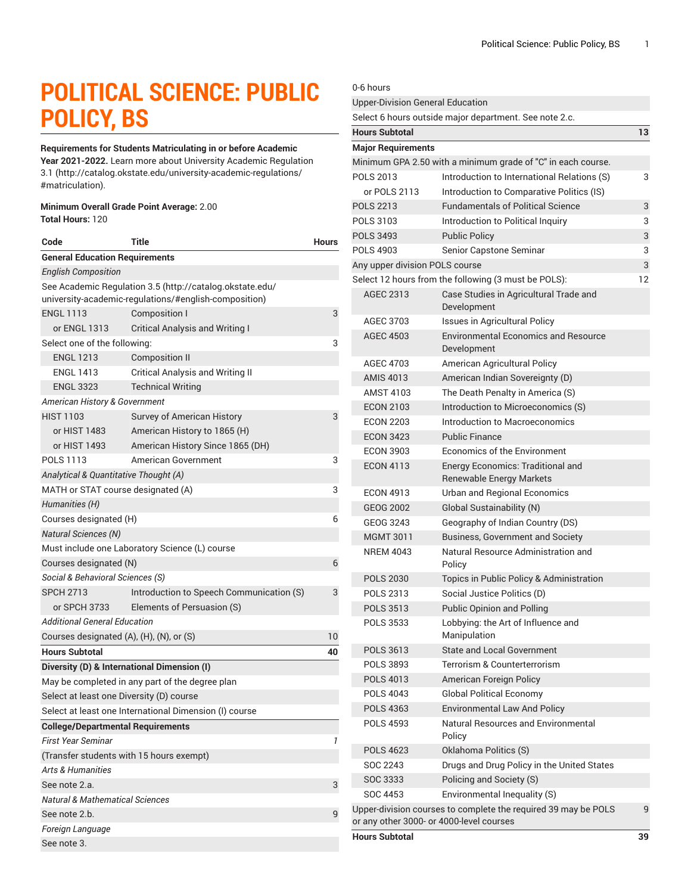# **POLITICAL SCIENCE: PUBLIC POLICY, BS**

#### **Requirements for Students Matriculating in or before Academic**

**Year 2021-2022.** Learn more about University Academic [Regulation](http://catalog.okstate.edu/university-academic-regulations/#matriculation) [3.1](http://catalog.okstate.edu/university-academic-regulations/#matriculation) ([http://catalog.okstate.edu/university-academic-regulations/](http://catalog.okstate.edu/university-academic-regulations/#matriculation) [#matriculation\)](http://catalog.okstate.edu/university-academic-regulations/#matriculation).

#### **Minimum Overall Grade Point Average:** 2.00 **Total Hours:** 120

| Code                                       | Title                                                                                                             | <b>Hours</b> |
|--------------------------------------------|-------------------------------------------------------------------------------------------------------------------|--------------|
| <b>General Education Requirements</b>      |                                                                                                                   |              |
| <b>English Composition</b>                 |                                                                                                                   |              |
|                                            | See Academic Regulation 3.5 (http://catalog.okstate.edu/<br>university-academic-regulations/#english-composition) |              |
| <b>ENGL 1113</b><br>or ENGL 1313           | <b>Composition I</b><br><b>Critical Analysis and Writing I</b>                                                    | 3            |
| Select one of the following:               |                                                                                                                   | 3            |
| <b>ENGL 1213</b>                           | <b>Composition II</b>                                                                                             |              |
| <b>ENGL 1413</b>                           | <b>Critical Analysis and Writing II</b>                                                                           |              |
| <b>ENGL 3323</b>                           | <b>Technical Writing</b>                                                                                          |              |
|                                            |                                                                                                                   |              |
| American History & Government              |                                                                                                                   |              |
| <b>HIST 1103</b>                           | Survey of American History                                                                                        | 3            |
| or HIST 1483                               | American History to 1865 (H)                                                                                      |              |
| or HIST 1493                               | American History Since 1865 (DH)                                                                                  |              |
| POLS 1113                                  | American Government                                                                                               | 3            |
| Analytical & Quantitative Thought (A)      |                                                                                                                   |              |
| MATH or STAT course designated (A)         |                                                                                                                   | 3            |
| Humanities (H)                             |                                                                                                                   |              |
| Courses designated (H)                     |                                                                                                                   | 6            |
| <b>Natural Sciences (N)</b>                |                                                                                                                   |              |
|                                            | Must include one Laboratory Science (L) course                                                                    |              |
| Courses designated (N)                     |                                                                                                                   | 6            |
| Social & Behavioral Sciences (S)           |                                                                                                                   |              |
| <b>SPCH 2713</b>                           | Introduction to Speech Communication (S)                                                                          | 3            |
| or SPCH 3733                               | Elements of Persuasion (S)                                                                                        |              |
| <b>Additional General Education</b>        |                                                                                                                   |              |
| Courses designated (A), (H), (N), or (S)   |                                                                                                                   | 10           |
| <b>Hours Subtotal</b>                      |                                                                                                                   | 40           |
|                                            | Diversity (D) & International Dimension (I)                                                                       |              |
|                                            | May be completed in any part of the degree plan                                                                   |              |
| Select at least one Diversity (D) course   |                                                                                                                   |              |
|                                            | Select at least one International Dimension (I) course                                                            |              |
| <b>College/Departmental Requirements</b>   |                                                                                                                   |              |
| First Year Seminar                         |                                                                                                                   |              |
| (Transfer students with 15 hours exempt)   |                                                                                                                   |              |
| <b>Arts &amp; Humanities</b>               |                                                                                                                   |              |
| See note 2.a.                              |                                                                                                                   | 3            |
| <b>Natural &amp; Mathematical Sciences</b> |                                                                                                                   |              |
| See note 2.b.                              |                                                                                                                   | 9            |
| Foreign Language                           |                                                                                                                   |              |
| See note 3.                                |                                                                                                                   |              |

### 0-6 hours Upper-Division General Education Select 6 hours outside major department. See note 2.c. **Hours Subtotal 13 Major Requirements** Minimum GPA 2.50 with a minimum grade of "C" in each course. POLS 2013 Introduction to International Relations (S) 3 or POLS 2113 Introduction to Comparative Politics (IS) POLS 2213 Fundamentals of Political Science 3 POLS 3103 Introduction to Political Inquiry 3 POLS 3493 Public Policy 3 POLS 4903 Senior Capstone Seminar 3 Any upper division POLS course 3 Select 12 hours from the following (3 must be POLS): 12 AGEC 2313 Case Studies in Agricultural Trade and Development AGEC 3703 Issues in Agricultural Policy AGEC 4503 Environmental Economics and Resource Development AGEC 4703 American Agricultural Policy AMIS 4013 American Indian Sovereignty (D) AMST 4103 The Death Penalty in America (S) ECON 2103 Introduction to Microeconomics (S) ECON 2203 Introduction to Macroeconomics ECON 3423 Public Finance ECON 3903 Economics of the Environment ECON 4113 Energy Economics: Traditional and Renewable Energy Markets ECON 4913 Urban and Regional Economics GEOG 2002 Global Sustainability (N) GEOG 3243 Geography of Indian Country (DS) MGMT 3011 Business, Government and Society NREM 4043 Natural Resource Administration and Policy POLS 2030 Topics in Public Policy & Administration POLS 2313 Social Justice Politics (D) POLS 3513 Public Opinion and Polling POLS 3533 Lobbying: the Art of Influence and Manipulation POLS 3613 State and Local Government POLS 3893 Terrorism & Counterterrorism POLS 4013 American Foreign Policy POLS 4043 Global Political Economy POLS 4363 Environmental Law And Policy POLS 4593 Natural Resources and Environmental Policy POLS 4623 Oklahoma Politics (S) SOC 2243 Drugs and Drug Policy in the United States SOC 3333 Policing and Society (S) SOC 4453 Environmental Inequality (S) Upper-division courses to complete the required 39 may be POLS or any other 3000- or 4000-level courses 9 **Hours Subtotal 39**